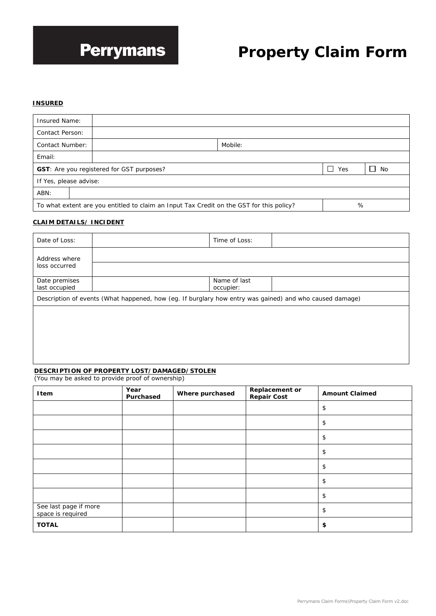# **Perrymans**

# **Property Claim Form**

#### **INSURED**

| <b>Insured Name:</b>                                                                                      |  |         |  |  |
|-----------------------------------------------------------------------------------------------------------|--|---------|--|--|
| Contact Person:                                                                                           |  |         |  |  |
| <b>Contact Number:</b>                                                                                    |  | Mobile: |  |  |
| Email:                                                                                                    |  |         |  |  |
| $\overline{\phantom{a}}$<br><b>GST:</b> Are you registered for GST purposes?<br>Yes<br>No<br>$\mathbf{L}$ |  |         |  |  |
| If Yes, please advise:                                                                                    |  |         |  |  |
| ABN:                                                                                                      |  |         |  |  |
| To what extent are you entitled to claim an Input Tax Credit on the GST for this policy?<br>%             |  |         |  |  |

#### **CLAIM DETAILS/ INCIDENT**

| Date of Loss:                  |                                                                                                         | Time of Loss:             |  |
|--------------------------------|---------------------------------------------------------------------------------------------------------|---------------------------|--|
| Address where<br>loss occurred |                                                                                                         |                           |  |
| Date premises<br>last occupied |                                                                                                         | Name of last<br>occupier: |  |
|                                | Description of events (What happened, how (eg. If burglary how entry was gained) and who caused damage) |                           |  |
|                                |                                                                                                         |                           |  |
|                                |                                                                                                         |                           |  |
|                                |                                                                                                         |                           |  |

#### **DESCRIPTION OF PROPERTY LOST/DAMAGED/STOLEN** (You may be asked to provide proof of ownership)

| Item                                       | Year<br>Purchased | Where purchased | Replacement or<br><b>Repair Cost</b> | <b>Amount Claimed</b> |
|--------------------------------------------|-------------------|-----------------|--------------------------------------|-----------------------|
|                                            |                   |                 |                                      | \$                    |
|                                            |                   |                 |                                      | \$                    |
|                                            |                   |                 |                                      | \$                    |
|                                            |                   |                 |                                      | \$                    |
|                                            |                   |                 |                                      | \$                    |
|                                            |                   |                 |                                      | \$                    |
|                                            |                   |                 |                                      | \$                    |
| See last page if more<br>space is required |                   |                 |                                      | \$                    |
| <b>TOTAL</b>                               |                   |                 |                                      | \$                    |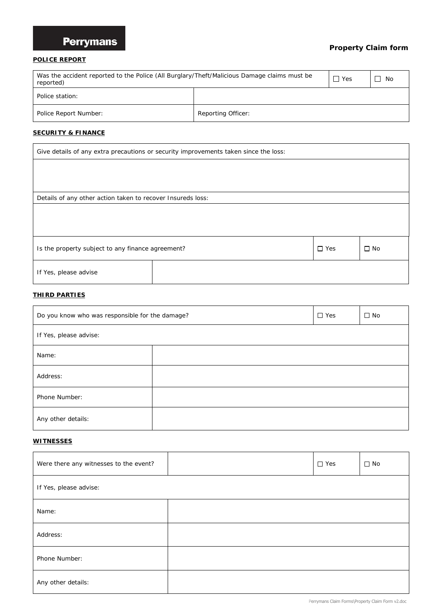## **Perrymans**

### **Property Claim form**

#### **POLICE REPORT**

| Was the accident reported to the Police (All Burglary/Theft/Malicious Damage claims must be<br>reported) |  |  | ' No |
|----------------------------------------------------------------------------------------------------------|--|--|------|
| Police station:                                                                                          |  |  |      |
| Reporting Officer:<br>Police Report Number:                                                              |  |  |      |

#### **SECURITY & FINANCE**

| Give details of any extra precautions or security improvements taken since the loss: |  |  |  |  |  |
|--------------------------------------------------------------------------------------|--|--|--|--|--|
|                                                                                      |  |  |  |  |  |
|                                                                                      |  |  |  |  |  |
| Details of any other action taken to recover Insureds loss:                          |  |  |  |  |  |
|                                                                                      |  |  |  |  |  |
|                                                                                      |  |  |  |  |  |
|                                                                                      |  |  |  |  |  |
| $\Box$ Yes<br>$\Box$ No<br>Is the property subject to any finance agreement?         |  |  |  |  |  |
| If Yes, please advise                                                                |  |  |  |  |  |

#### **THIRD PARTIES**

| Do you know who was responsible for the damage? |  |  | $\square$ No |  |
|-------------------------------------------------|--|--|--------------|--|
| If Yes, please advise:                          |  |  |              |  |
| Name:                                           |  |  |              |  |
| Address:                                        |  |  |              |  |
| Phone Number:                                   |  |  |              |  |
| Any other details:                              |  |  |              |  |

#### **WITNESSES**

| Were there any witnesses to the event? |  | $\Box$ Yes | $\Box$ No |  |
|----------------------------------------|--|------------|-----------|--|
| If Yes, please advise:                 |  |            |           |  |
| Name:                                  |  |            |           |  |
| Address:                               |  |            |           |  |
| Phone Number:                          |  |            |           |  |
| Any other details:                     |  |            |           |  |